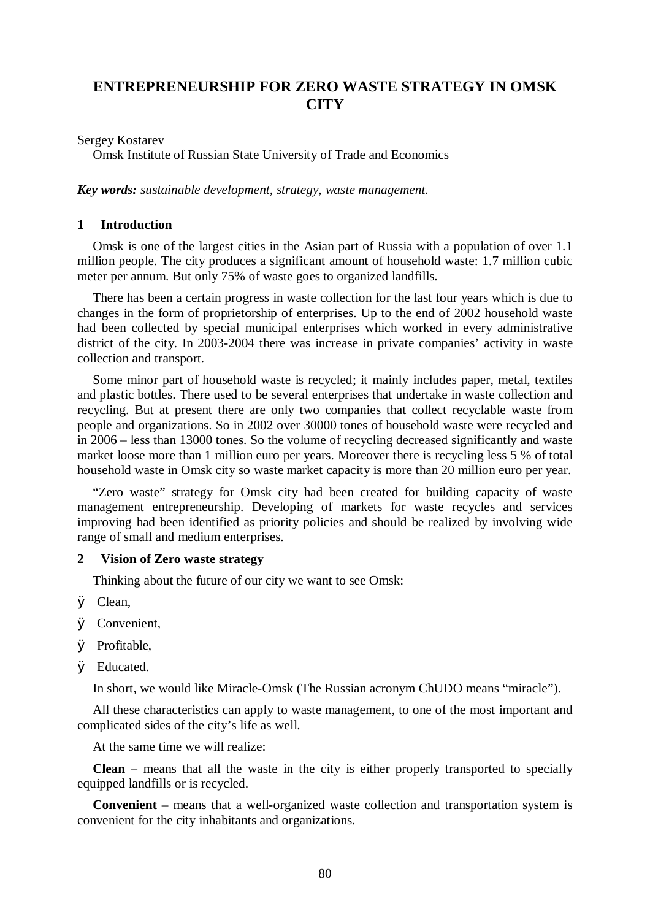# **ENTREPRENEURSHIP FOR ZERO WASTE STRATEGY IN OMSK CITY**

Sergey Kostarev

Omsk Institute of Russian State University of Trade and Economics

*Key words: sustainable development, strategy, waste management.*

# **1 Introduction**

Omsk is one of the largest cities in the Asian part of Russia with a population of over 1.1 million people. The city produces a significant amount of household waste: 1.7 million cubic meter per annum. But only 75% of waste goes to organized landfills.

There has been a certain progress in waste collection for the last four years which is due to changes in the form of proprietorship of enterprises. Up to the end of 2002 household waste had been collected by special municipal enterprises which worked in every administrative district of the city. In 2003-2004 there was increase in private companies' activity in waste collection and transport.

Some minor part of household waste is recycled; it mainly includes paper, metal, textiles and plastic bottles. There used to be several enterprises that undertake in waste collection and recycling. But at present there are only two companies that collect recyclable waste from people and organizations. So in 2002 over 30000 tones of household waste were recycled and in 2006 – less than 13000 tones. So the volume of recycling decreased significantly and waste market loose more than 1 million euro per years. Moreover there is recycling less 5 % of total household waste in Omsk city so waste market capacity is more than 20 million euro per year.

"Zero waste" strategy for Omsk city had been created for building capacity of waste management entrepreneurship. Developing of markets for waste recycles and services improving had been identified as priority policies and should be realized by involving wide range of small and medium enterprises.

### **2 Vision of Zero waste strategy**

Thinking about the future of our city we want to see Omsk:

Ø Clean,

- Ø Convenient,
- Ø Profitable,
- Ø Educated.

In short, we would like Miracle-Omsk (The Russian acronym ChUDO means "miracle").

All these characteristics can apply to waste management, to one of the most important and complicated sides of the city's life as well.

At the same time we will realize:

**Clean** – means that all the waste in the city is either properly transported to specially equipped landfills or is recycled.

**Convenient** – means that a well-organized waste collection and transportation system is convenient for the city inhabitants and organizations.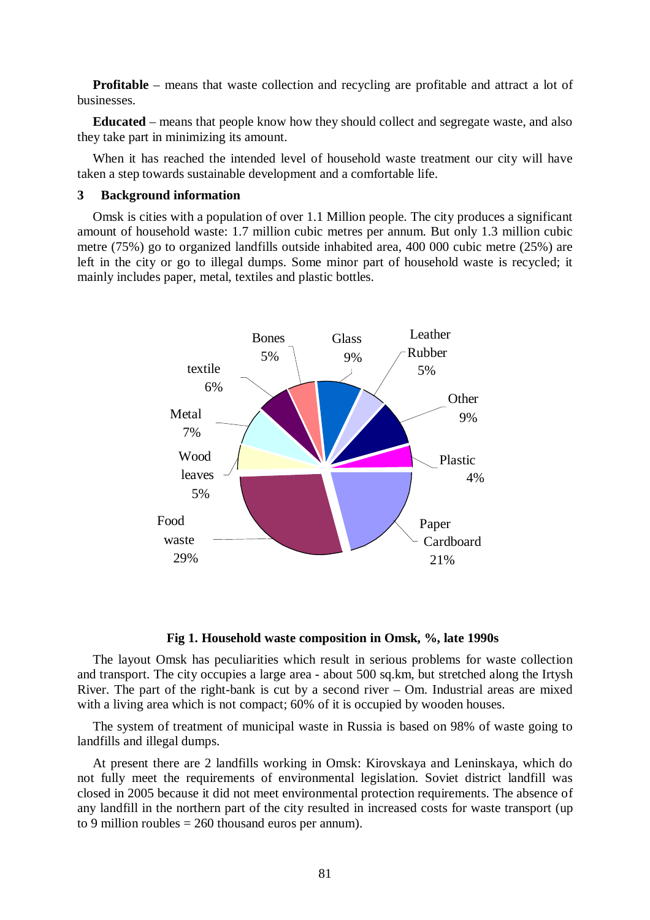**Profitable** – means that waste collection and recycling are profitable and attract a lot of businesses.

**Educated** – means that people know how they should collect and segregate waste, and also they take part in minimizing its amount.

When it has reached the intended level of household waste treatment our city will have taken a step towards sustainable development and a comfortable life.

#### **3 Background information**

Omsk is cities with a population of over 1.1 Million people. The city produces a significant amount of household waste: 1.7 million cubic metres per annum. But only 1.3 million cubic metre (75%) go to organized landfills outside inhabited area, 400 000 cubic metre (25%) are left in the city or go to illegal dumps. Some minor part of household waste is recycled; it mainly includes paper, metal, textiles and plastic bottles.



**Fig 1. Household waste composition in Omsk, %, late 1990s** 

The layout Omsk has peculiarities which result in serious problems for waste collection and transport. The city occupies a large area - about 500 sq.km, but stretched along the Irtysh River. The part of the right-bank is cut by a second river – Om. Industrial areas are mixed with a living area which is not compact; 60% of it is occupied by wooden houses.

The system of treatment of municipal waste in Russia is based on 98% of waste going to landfills and illegal dumps.

At present there are 2 landfills working in Omsk: Kirovskaya and Leninskaya, which do not fully meet the requirements of environmental legislation. Soviet district landfill was closed in 2005 because it did not meet environmental protection requirements. The absence of any landfill in the northern part of the city resulted in increased costs for waste transport (up to 9 million roubles  $= 260$  thousand euros per annum).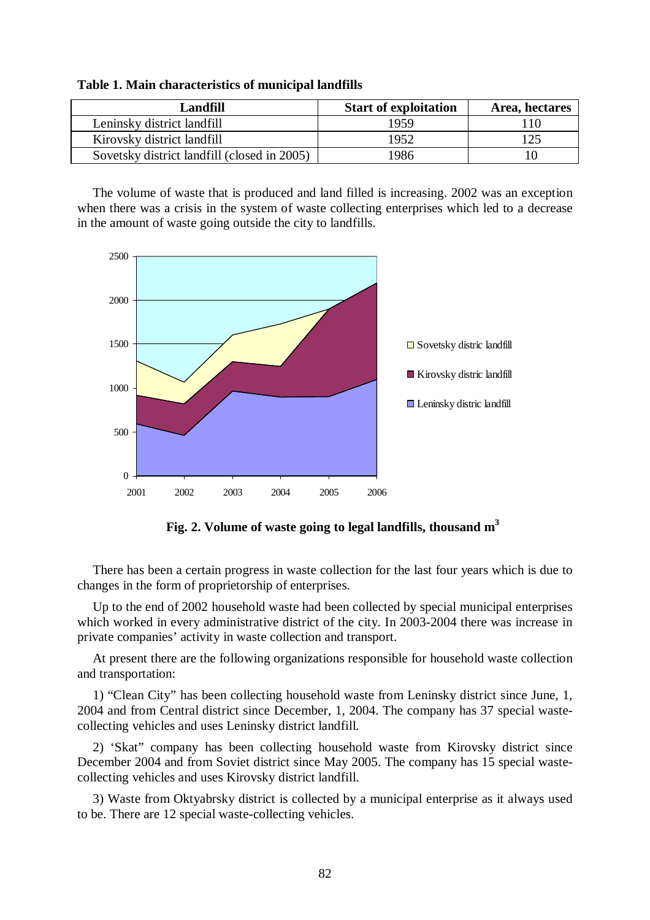| <b>Landfill</b>                             | <b>Start of exploitation</b> | Area, hectares |
|---------------------------------------------|------------------------------|----------------|
| Leninsky district landfill                  | 1959                         | 110            |
| Kirovsky district landfill                  | 1952                         | 125            |
| Sovetsky district landfill (closed in 2005) | 1986                         | 10             |

**Table 1. Main characteristics of municipal landfills** 

The volume of waste that is produced and land filled is increasing. 2002 was an exception when there was a crisis in the system of waste collecting enterprises which led to a decrease in the amount of waste going outside the city to landfills.



**Fig. 2. Volume of waste going to legal landfills, thousand m<sup>3</sup>**

There has been a certain progress in waste collection for the last four years which is due to changes in the form of proprietorship of enterprises.

Up to the end of 2002 household waste had been collected by special municipal enterprises which worked in every administrative district of the city. In 2003-2004 there was increase in private companies' activity in waste collection and transport.

At present there are the following organizations responsible for household waste collection and transportation:

1) "Clean City" has been collecting household waste from Leninsky district since June, 1, 2004 and from Central district since December, 1, 2004. The company has 37 special wastecollecting vehicles and uses Leninsky district landfill.

2) 'Skat" company has been collecting household waste from Kirovsky district since December 2004 and from Soviet district since May 2005. The company has 15 special wastecollecting vehicles and uses Kirovsky district landfill.

3) Waste from Oktyabrsky district is collected by a municipal enterprise as it always used to be. There are 12 special waste-collecting vehicles.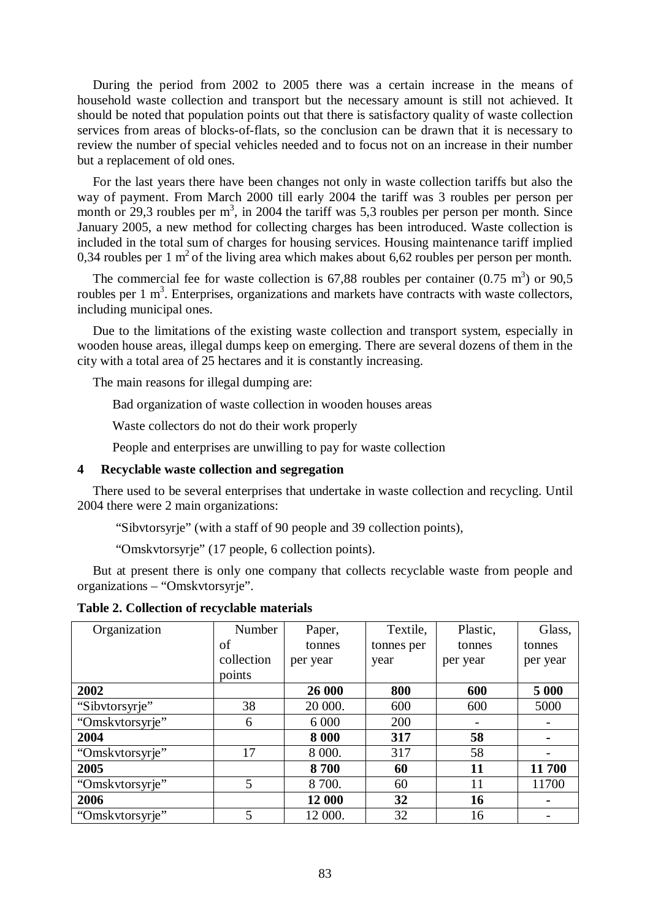During the period from 2002 to 2005 there was a certain increase in the means of household waste collection and transport but the necessary amount is still not achieved. It should be noted that population points out that there is satisfactory quality of waste collection services from areas of blocks-of-flats, so the conclusion can be drawn that it is necessary to review the number of special vehicles needed and to focus not on an increase in their number but a replacement of old ones.

For the last years there have been changes not only in waste collection tariffs but also the way of payment. From March 2000 till early 2004 the tariff was 3 roubles per person per month or  $29,3$  roubles per  $m^3$ , in 2004 the tariff was 5,3 roubles per person per month. Since January 2005, a new method for collecting charges has been introduced. Waste collection is included in the total sum of charges for housing services. Housing maintenance tariff implied 0,34 roubles per 1  $m^2$  of the living area which makes about 6,62 roubles per person per month.

The commercial fee for waste collection is 67,88 roubles per container  $(0.75 \text{ m}^3)$  or 90,5 roubles per  $1 \text{ m}^3$ . Enterprises, organizations and markets have contracts with waste collectors, including municipal ones.

Due to the limitations of the existing waste collection and transport system, especially in wooden house areas, illegal dumps keep on emerging. There are several dozens of them in the city with a total area of 25 hectares and it is constantly increasing.

The main reasons for illegal dumping are:

Bad organization of waste collection in wooden houses areas

Waste collectors do not do their work properly

People and enterprises are unwilling to pay for waste collection

#### **4 Recyclable waste collection and segregation**

There used to be several enterprises that undertake in waste collection and recycling. Until 2004 there were 2 main organizations:

"Sibvtorsyrje" (with a staff of 90 people and 39 collection points),

"Omskvtorsyrje" (17 people, 6 collection points).

But at present there is only one company that collects recyclable waste from people and organizations – "Omskvtorsyrje".

**Table 2. Collection of recyclable materials** 

| Organization    | Number     | Paper,   | Textile,   | Plastic, | Glass,         |
|-----------------|------------|----------|------------|----------|----------------|
|                 | of         | tonnes   | tonnes per | tonnes   | tonnes         |
|                 | collection | per year | year       | per year | per year       |
|                 | points     |          |            |          |                |
| 2002            |            | 26 000   | 800        | 600      | 5 0 0 0        |
| "Sibvtorsyrje"  | 38         | 20 000.  | 600        | 600      | 5000           |
| "Omskvtorsyrje" | 6          | 6 0 0 0  | 200        |          |                |
| 2004            |            | 8 0 0 0  | 317        | 58       | $\blacksquare$ |
| "Omskvtorsyrje" | 17         | 8 000.   | 317        | 58       |                |
| 2005            |            | 8700     | 60         | 11       | 11 700         |
| "Omskvtorsyrje" | 5          | 8 700.   | 60         | 11       | 11700          |
| 2006            |            | 12 000   | 32         | 16       | $\blacksquare$ |
| "Omskvtorsyrje" | 5          | 12 000.  | 32         | 16       |                |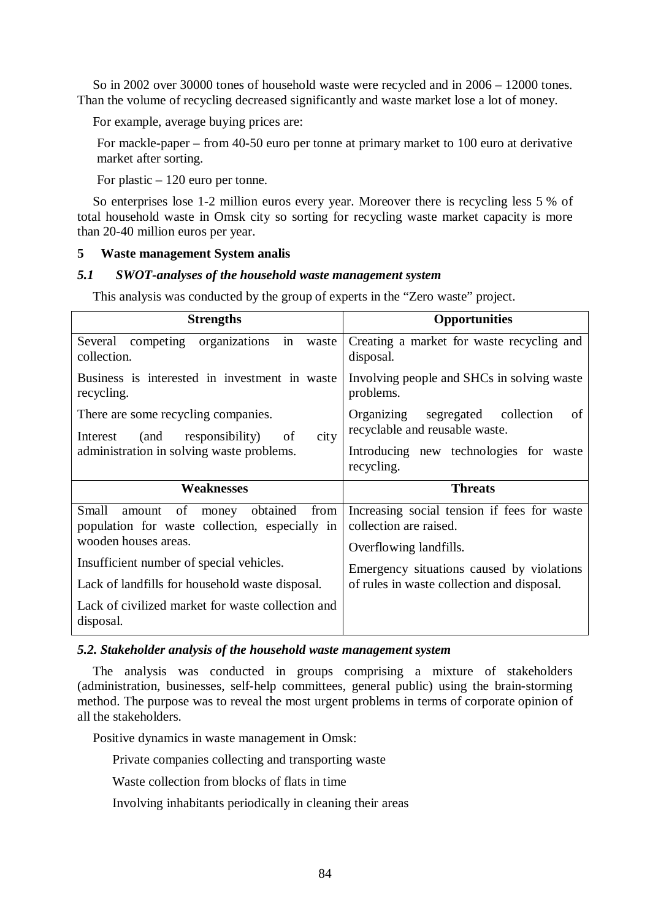So in 2002 over 30000 tones of household waste were recycled and in 2006 – 12000 tones. Than the volume of recycling decreased significantly and waste market lose a lot of money.

For example, average buying prices are:

For mackle-paper – from 40-50 euro per tonne at primary market to 100 euro at derivative market after sorting.

For plastic – 120 euro per tonne.

So enterprises lose 1-2 million euros every year. Moreover there is recycling less 5 % of total household waste in Omsk city so sorting for recycling waste market capacity is more than 20-40 million euros per year.

# **5 Waste management System analis**

# *5.1 SWOT-analyses of the household waste management system*

This analysis was conducted by the group of experts in the "Zero waste" project.

| <b>Strengths</b>                                                                                                                   | <b>Opportunities</b>                                                                                                                                                                       |  |  |
|------------------------------------------------------------------------------------------------------------------------------------|--------------------------------------------------------------------------------------------------------------------------------------------------------------------------------------------|--|--|
| organizations<br>competing<br>Several<br>in<br>waste<br>collection.                                                                | Creating a market for waste recycling and<br>disposal.                                                                                                                                     |  |  |
| Business is interested in investment in waste<br>recycling.                                                                        | Involving people and SHCs in solving waste<br>problems.                                                                                                                                    |  |  |
| There are some recycling companies.<br>city<br>(and<br>responsibility) of<br>Interest<br>administration in solving waste problems. | Organizing segregated collection<br>of<br>recyclable and reusable waste.                                                                                                                   |  |  |
|                                                                                                                                    | Introducing new technologies for waste<br>recycling.                                                                                                                                       |  |  |
| Weaknesses                                                                                                                         | <b>Threats</b>                                                                                                                                                                             |  |  |
| Small<br>obtained<br>from<br>of<br>money<br>amount<br>population for waste collection, especially in<br>wooden houses areas.       | Increasing social tension if fees for waste<br>collection are raised.<br>Overflowing landfills.<br>Emergency situations caused by violations<br>of rules in waste collection and disposal. |  |  |
| Insufficient number of special vehicles.                                                                                           |                                                                                                                                                                                            |  |  |
| Lack of landfills for household waste disposal.                                                                                    |                                                                                                                                                                                            |  |  |
| Lack of civilized market for waste collection and<br>disposal.                                                                     |                                                                                                                                                                                            |  |  |

# *5.2. Stakeholder analysis of the household waste management system*

The analysis was conducted in groups comprising a mixture of stakeholders (administration, businesses, self-help committees, general public) using the brain-storming method. The purpose was to reveal the most urgent problems in terms of corporate opinion of all the stakeholders.

Positive dynamics in waste management in Omsk:

Private companies collecting and transporting waste

Waste collection from blocks of flats in time

Involving inhabitants periodically in cleaning their areas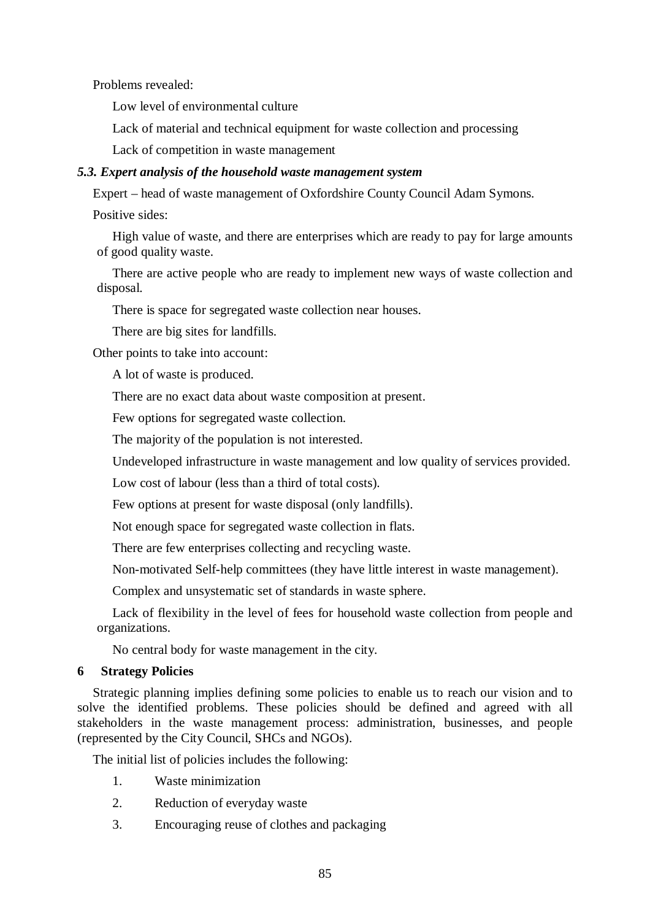Problems revealed:

Low level of environmental culture

Lack of material and technical equipment for waste collection and processing

Lack of competition in waste management

# *5.3. Expert analysis of the household waste management system*

Expert – head of waste management of Oxfordshire County Council Adam Symons.

Positive sides:

High value of waste, and there are enterprises which are ready to pay for large amounts of good quality waste.

There are active people who are ready to implement new ways of waste collection and disposal.

There is space for segregated waste collection near houses.

There are big sites for landfills.

Other points to take into account:

A lot of waste is produced.

There are no exact data about waste composition at present.

Few options for segregated waste collection.

The majority of the population is not interested.

Undeveloped infrastructure in waste management and low quality of services provided.

Low cost of labour (less than a third of total costs).

Few options at present for waste disposal (only landfills).

Not enough space for segregated waste collection in flats.

There are few enterprises collecting and recycling waste.

Non-motivated Self-help committees (they have little interest in waste management).

Complex and unsystematic set of standards in waste sphere.

Lack of flexibility in the level of fees for household waste collection from people and organizations.

No central body for waste management in the city.

# **6 Strategy Policies**

Strategic planning implies defining some policies to enable us to reach our vision and to solve the identified problems. These policies should be defined and agreed with all stakeholders in the waste management process: administration, businesses, and people (represented by the City Council, SHCs and NGOs).

The initial list of policies includes the following:

- 1. Waste minimization
- 2. Reduction of everyday waste
- 3. Encouraging reuse of clothes and packaging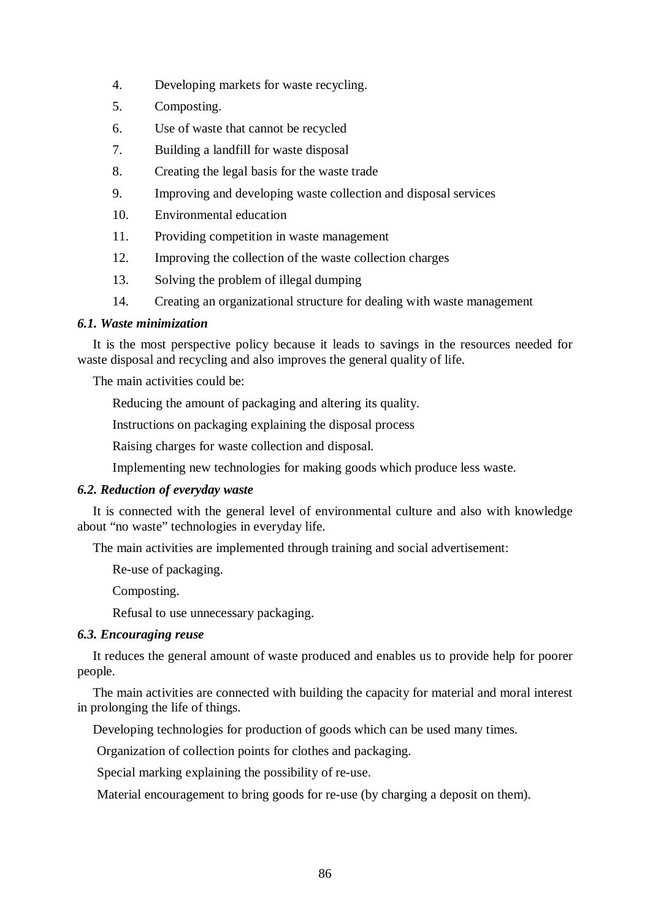- 4. Developing markets for waste recycling.
- 5. Composting.
- 6. Use of waste that cannot be recycled
- 7. Building a landfill for waste disposal
- 8. Creating the legal basis for the waste trade
- 9. Improving and developing waste collection and disposal services
- 10. Environmental education
- 11. Providing competition in waste management
- 12. Improving the collection of the waste collection charges
- 13. Solving the problem of illegal dumping
- 14. Creating an organizational structure for dealing with waste management

# *6.1. Waste minimization*

It is the most perspective policy because it leads to savings in the resources needed for waste disposal and recycling and also improves the general quality of life.

The main activities could be:

Reducing the amount of packaging and altering its quality.

Instructions on packaging explaining the disposal process

Raising charges for waste collection and disposal.

Implementing new technologies for making goods which produce less waste.

# *6.2. Reduction of everyday waste*

It is connected with the general level of environmental culture and also with knowledge about "no waste" technologies in everyday life.

The main activities are implemented through training and social advertisement:

Re-use of packaging.

Composting.

Refusal to use unnecessary packaging.

# *6.3. Encouraging reuse*

It reduces the general amount of waste produced and enables us to provide help for poorer people.

The main activities are connected with building the capacity for material and moral interest in prolonging the life of things.

Developing technologies for production of goods which can be used many times.

Organization of collection points for clothes and packaging.

Special marking explaining the possibility of re-use.

Material encouragement to bring goods for re-use (by charging a deposit on them).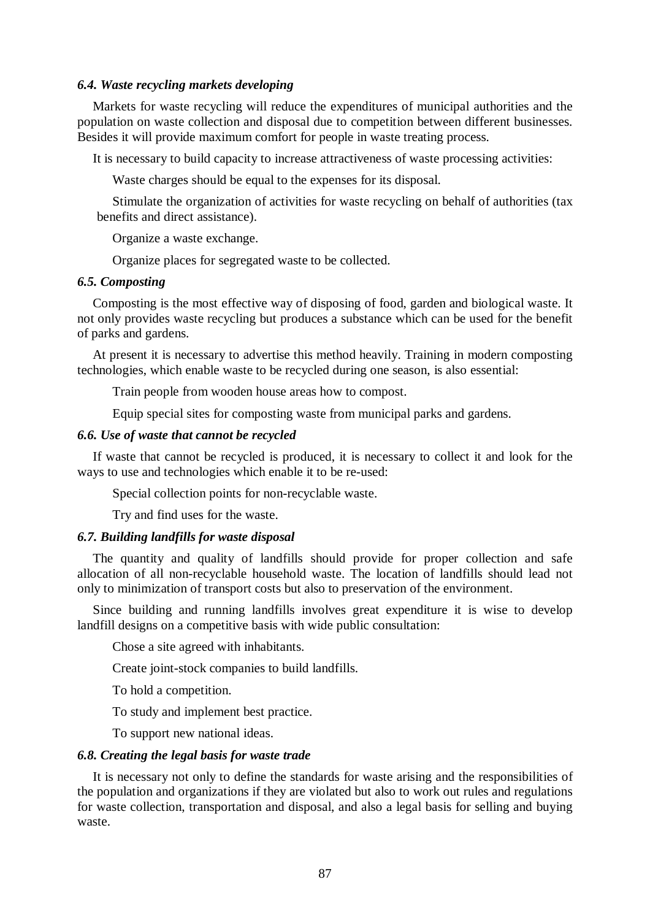### *6.4. Waste recycling markets developing*

Markets for waste recycling will reduce the expenditures of municipal authorities and the population on waste collection and disposal due to competition between different businesses. Besides it will provide maximum comfort for people in waste treating process.

It is necessary to build capacity to increase attractiveness of waste processing activities:

Waste charges should be equal to the expenses for its disposal.

Stimulate the organization of activities for waste recycling on behalf of authorities (tax benefits and direct assistance).

Organize a waste exchange.

Organize places for segregated waste to be collected.

### *6.5. Composting*

Composting is the most effective way of disposing of food, garden and biological waste. It not only provides waste recycling but produces a substance which can be used for the benefit of parks and gardens.

At present it is necessary to advertise this method heavily. Training in modern composting technologies, which enable waste to be recycled during one season, is also essential:

Train people from wooden house areas how to compost.

Equip special sites for composting waste from municipal parks and gardens.

#### *6.6. Use of waste that cannot be recycled*

If waste that cannot be recycled is produced, it is necessary to collect it and look for the ways to use and technologies which enable it to be re-used:

Special collection points for non-recyclable waste.

Try and find uses for the waste.

### *6.7. Building landfills for waste disposal*

The quantity and quality of landfills should provide for proper collection and safe allocation of all non-recyclable household waste. The location of landfills should lead not only to minimization of transport costs but also to preservation of the environment.

Since building and running landfills involves great expenditure it is wise to develop landfill designs on a competitive basis with wide public consultation:

Chose a site agreed with inhabitants.

Create joint-stock companies to build landfills.

To hold a competition.

To study and implement best practice.

To support new national ideas.

### *6.8. Creating the legal basis for waste trade*

It is necessary not only to define the standards for waste arising and the responsibilities of the population and organizations if they are violated but also to work out rules and regulations for waste collection, transportation and disposal, and also a legal basis for selling and buying waste.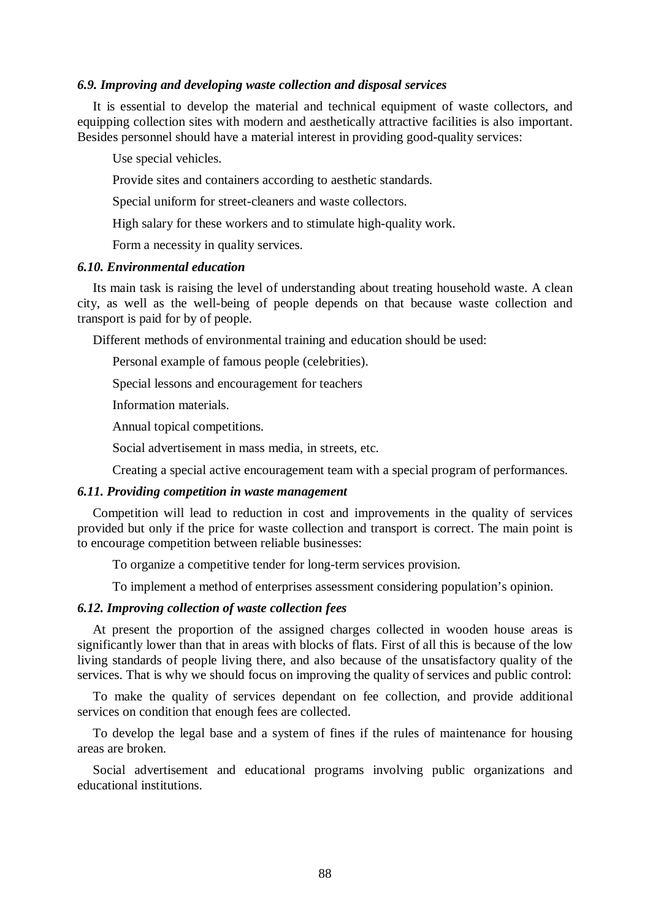#### *6.9. Improving and developing waste collection and disposal services*

It is essential to develop the material and technical equipment of waste collectors, and equipping collection sites with modern and aesthetically attractive facilities is also important. Besides personnel should have a material interest in providing good-quality services:

Use special vehicles.

Provide sites and containers according to aesthetic standards.

Special uniform for street-cleaners and waste collectors.

High salary for these workers and to stimulate high-quality work.

Form a necessity in quality services.

#### *6.10. Environmental education*

Its main task is raising the level of understanding about treating household waste. A clean city, as well as the well-being of people depends on that because waste collection and transport is paid for by of people.

Different methods of environmental training and education should be used:

Personal example of famous people (celebrities).

Special lessons and encouragement for teachers

Information materials.

Annual topical competitions.

Social advertisement in mass media, in streets, etc.

Creating a special active encouragement team with a special program of performances.

### *6.11. Providing competition in waste management*

Competition will lead to reduction in cost and improvements in the quality of services provided but only if the price for waste collection and transport is correct. The main point is to encourage competition between reliable businesses:

To organize a competitive tender for long-term services provision.

To implement a method of enterprises assessment considering population's opinion.

### *6.12. Improving collection of waste collection fees*

At present the proportion of the assigned charges collected in wooden house areas is significantly lower than that in areas with blocks of flats. First of all this is because of the low living standards of people living there, and also because of the unsatisfactory quality of the services. That is why we should focus on improving the quality of services and public control:

To make the quality of services dependant on fee collection, and provide additional services on condition that enough fees are collected.

To develop the legal base and a system of fines if the rules of maintenance for housing areas are broken.

Social advertisement and educational programs involving public organizations and educational institutions.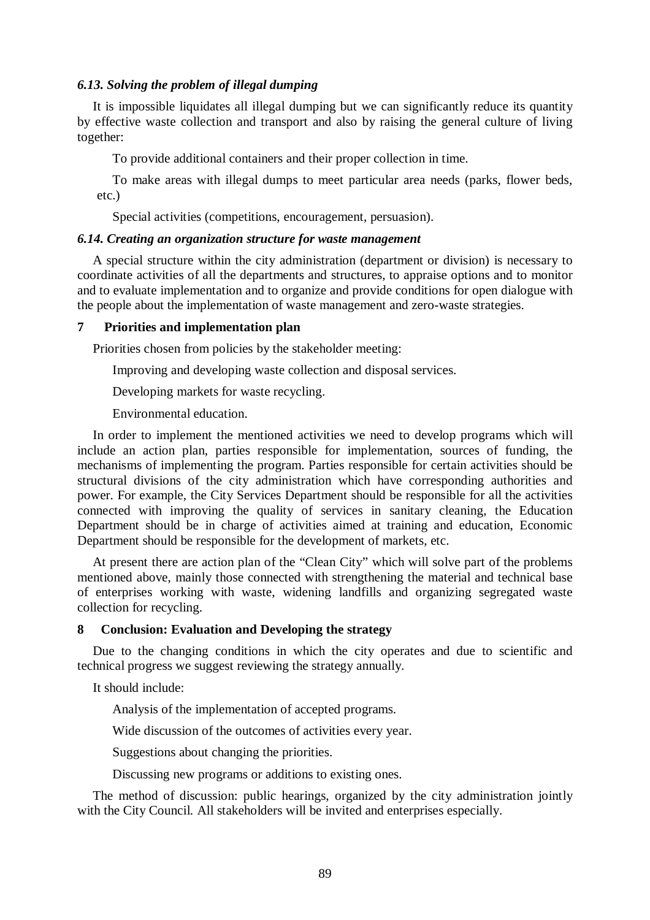### *6.13. Solving the problem of illegal dumping*

It is impossible liquidates all illegal dumping but we can significantly reduce its quantity by effective waste collection and transport and also by raising the general culture of living together:

To provide additional containers and their proper collection in time.

To make areas with illegal dumps to meet particular area needs (parks, flower beds, etc.)

Special activities (competitions, encouragement, persuasion).

### *6.14. Creating an organization structure for waste management*

A special structure within the city administration (department or division) is necessary to coordinate activities of all the departments and structures, to appraise options and to monitor and to evaluate implementation and to organize and provide conditions for open dialogue with the people about the implementation of waste management and zero-waste strategies.

### **7 Priorities and implementation plan**

Priorities chosen from policies by the stakeholder meeting:

Improving and developing waste collection and disposal services.

Developing markets for waste recycling.

Environmental education.

In order to implement the mentioned activities we need to develop programs which will include an action plan, parties responsible for implementation, sources of funding, the mechanisms of implementing the program. Parties responsible for certain activities should be structural divisions of the city administration which have corresponding authorities and power. For example, the City Services Department should be responsible for all the activities connected with improving the quality of services in sanitary cleaning, the Education Department should be in charge of activities aimed at training and education, Economic Department should be responsible for the development of markets, etc.

At present there are action plan of the "Clean City" which will solve part of the problems mentioned above, mainly those connected with strengthening the material and technical base of enterprises working with waste, widening landfills and organizing segregated waste collection for recycling.

### **8 Conclusion: Evaluation and Developing the strategy**

Due to the changing conditions in which the city operates and due to scientific and technical progress we suggest reviewing the strategy annually.

It should include:

Analysis of the implementation of accepted programs.

Wide discussion of the outcomes of activities every year.

Suggestions about changing the priorities.

Discussing new programs or additions to existing ones.

The method of discussion: public hearings, organized by the city administration jointly with the City Council. All stakeholders will be invited and enterprises especially.